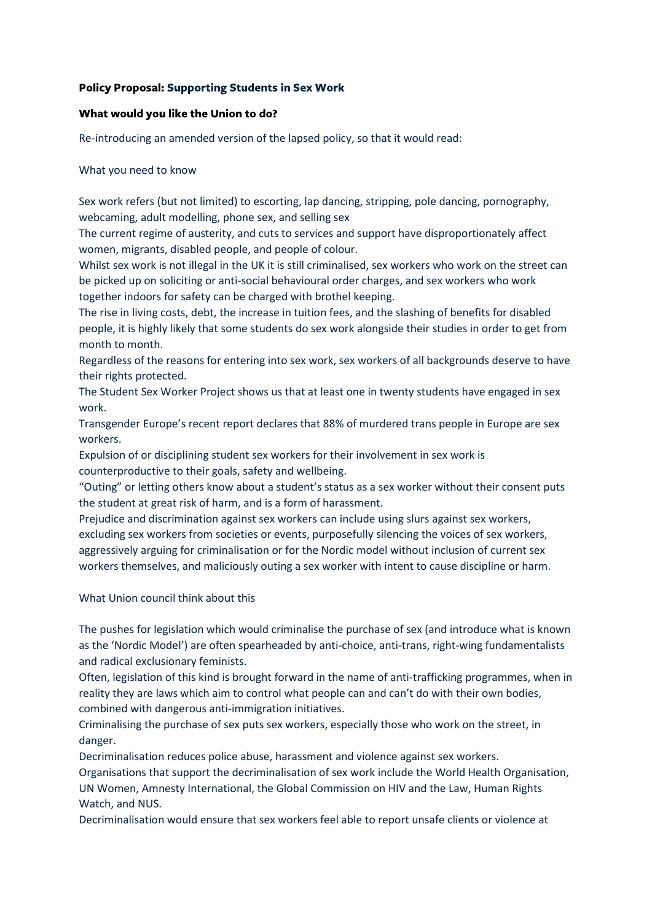# **Policy Proposal: Supporting Students in Sex Work**

#### What would you like the Union to do?

Re-introducing an amended version of the lapsed policy, so that it would read:

#### What you need to know

Sex work refers (but not limited) to escorting, lap dancing, stripping, pole dancing, pornography, webcaming, adult modelling, phone sex, and selling sex

The current regime of austerity, and cuts to services and support have disproportionately affect women, migrants, disabled people, and people of colour.

Whilst sex work is not illegal in the UK it is still criminalised, sex workers who work on the street can be picked up on soliciting or anti-social behavioural order charges, and sex workers who work together indoors for safety can be charged with brothel keeping.

The rise in living costs, debt, the increase in tuition fees, and the slashing of benefits for disabled people, it is highly likely that some students do sex work alongside their studies in order to get from month to month.

Regardless of the reasons for entering into sex work, sex workers of all backgrounds deserve to have their rights protected.

The Student Sex Worker Project shows us that at least one in twenty students have engaged in sex work.

Transgender Europe's recent report declares that 88% of murdered trans people in Europe are sex workers.

Expulsion of or disciplining student sex workers for their involvement in sex work is counterproductive to their goals, safety and wellbeing.

"Outing" or letting others know about a student's status as a sex worker without their consent puts the student at great risk of harm, and is a form of harassment.

Prejudice and discrimination against sex workers can include using slurs against sex workers, excluding sex workers from societies or events, purposefully silencing the voices of sex workers, aggressively arguing for criminalisation or for the Nordic model without inclusion of current sex workers themselves, and maliciously outing a sex worker with intent to cause discipline or harm.

## What Union council think about this

The pushes for legislation which would criminalise the purchase of sex (and introduce what is known as the 'Nordic Model') are often spearheaded by anti-choice, anti-trans, right-wing fundamentalists and radical exclusionary feminists.

Often, legislation of this kind is brought forward in the name of anti-trafficking programmes, when in reality they are laws which aim to control what people can and can't do with their own bodies, combined with dangerous anti-immigration initiatives.

Criminalising the purchase of sex puts sex workers, especially those who work on the street, in danger.

Decriminalisation reduces police abuse, harassment and violence against sex workers.

Organisations that support the decriminalisation of sex work include the World Health Organisation, UN Women, Amnesty International, the Global Commission on HIV and the Law, Human Rights Watch, and NUS.

Decriminalisation would ensure that sex workers feel able to report unsafe clients or violence at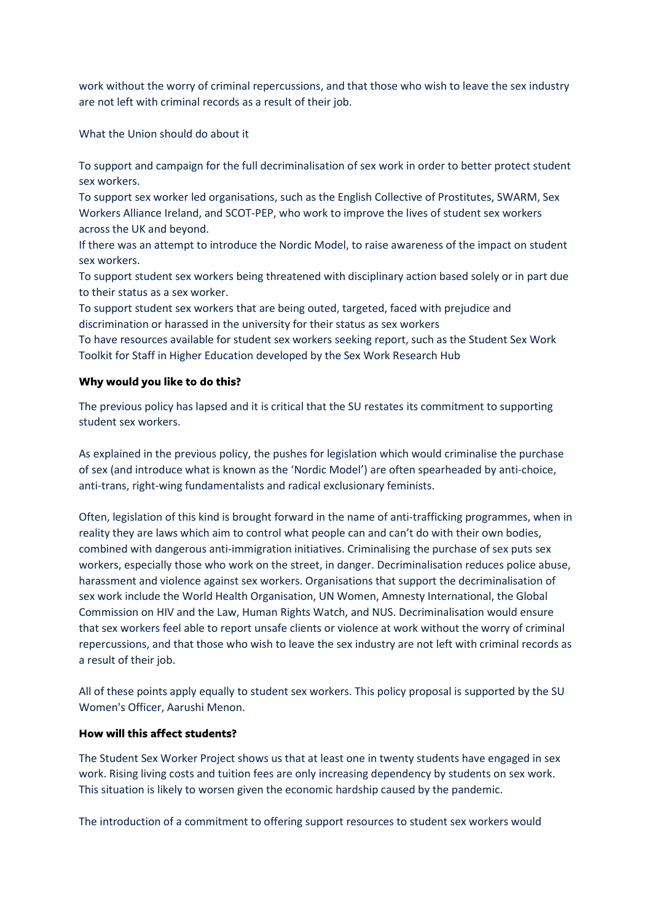work without the worry of criminal repercussions, and that those who wish to leave the sex industry are not left with criminal records as a result of their job.

What the Union should do about it

To support and campaign for the full decriminalisation of sex work in order to better protect student sex workers.

To support sex worker led organisations, such as the English Collective of Prostitutes, SWARM, Sex Workers Alliance Ireland, and SCOT-PEP, who work to improve the lives of student sex workers across the UK and beyond.

If there was an attempt to introduce the Nordic Model, to raise awareness of the impact on student sex workers.

To support student sex workers being threatened with disciplinary action based solely or in part due to their status as a sex worker.

To support student sex workers that are being outed, targeted, faced with prejudice and discrimination or harassed in the university for their status as sex workers

To have resources available for student sex workers seeking report, such as the Student Sex Work Toolkit for Staff in Higher Education developed by the Sex Work Research Hub

## Why would you like to do this?

The previous policy has lapsed and it is critical that the SU restates its commitment to supporting student sex workers.

As explained in the previous policy, the pushes for legislation which would criminalise the purchase of sex (and introduce what is known as the 'Nordic Model') are often spearheaded by anti-choice, anti-trans, right-wing fundamentalists and radical exclusionary feminists.

Often, legislation of this kind is brought forward in the name of anti-trafficking programmes, when in reality they are laws which aim to control what people can and can't do with their own bodies, combined with dangerous anti-immigration initiatives. Criminalising the purchase of sex puts sex workers, especially those who work on the street, in danger. Decriminalisation reduces police abuse, harassment and violence against sex workers. Organisations that support the decriminalisation of sex work include the World Health Organisation, UN Women, Amnesty International, the Global Commission on HIV and the Law, Human Rights Watch, and NUS. Decriminalisation would ensure that sex workers feel able to report unsafe clients or violence at work without the worry of criminal repercussions, and that those who wish to leave the sex industry are not left with criminal records as a result of their job.

All of these points apply equally to student sex workers. This policy proposal is supported by the SU Women's Officer, Aarushi Menon.

## How will this affect students?

The Student Sex Worker Project shows us that at least one in twenty students have engaged in sex work. Rising living costs and tuition fees are only increasing dependency by students on sex work. This situation is likely to worsen given the economic hardship caused by the pandemic.

The introduction of a commitment to offering support resources to student sex workers would